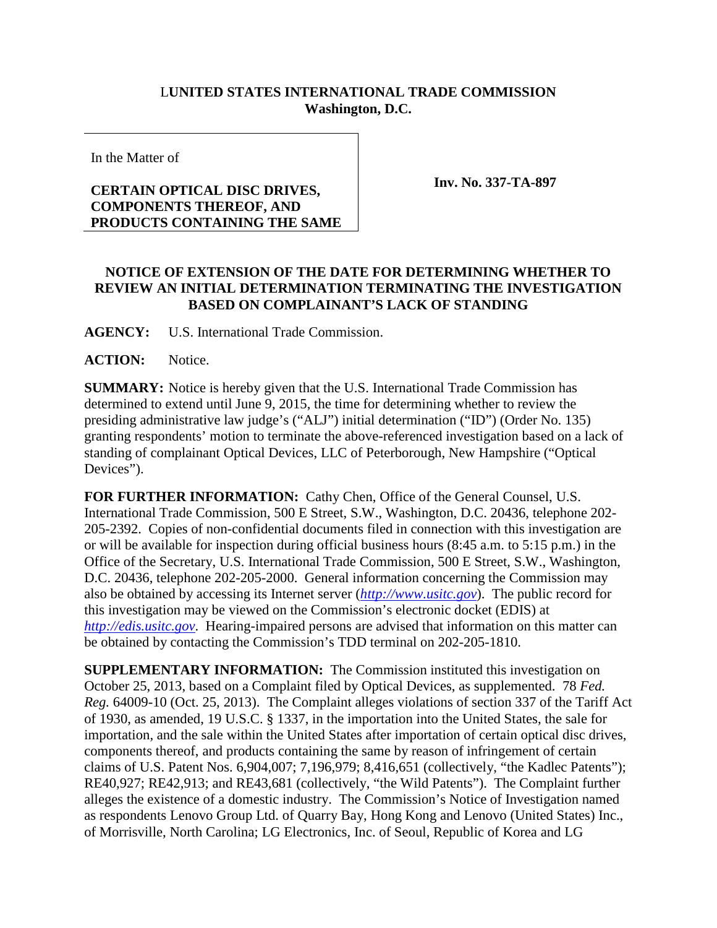## L**UNITED STATES INTERNATIONAL TRADE COMMISSION Washington, D.C.**

In the Matter of

## **CERTAIN OPTICAL DISC DRIVES, COMPONENTS THEREOF, AND PRODUCTS CONTAINING THE SAME**

**Inv. No. 337-TA-897**

## **NOTICE OF EXTENSION OF THE DATE FOR DETERMINING WHETHER TO REVIEW AN INITIAL DETERMINATION TERMINATING THE INVESTIGATION BASED ON COMPLAINANT'S LACK OF STANDING**

**AGENCY:** U.S. International Trade Commission.

**ACTION:** Notice.

**SUMMARY:** Notice is hereby given that the U.S. International Trade Commission has determined to extend until June 9, 2015, the time for determining whether to review the presiding administrative law judge's ("ALJ") initial determination ("ID") (Order No. 135) granting respondents' motion to terminate the above-referenced investigation based on a lack of standing of complainant Optical Devices, LLC of Peterborough, New Hampshire ("Optical Devices").

**FOR FURTHER INFORMATION:** Cathy Chen, Office of the General Counsel, U.S. International Trade Commission, 500 E Street, S.W., Washington, D.C. 20436, telephone 202- 205-2392. Copies of non-confidential documents filed in connection with this investigation are or will be available for inspection during official business hours (8:45 a.m. to 5:15 p.m.) in the Office of the Secretary, U.S. International Trade Commission, 500 E Street, S.W., Washington, D.C. 20436, telephone 202-205-2000. General information concerning the Commission may also be obtained by accessing its Internet server (*[http://www.usitc.gov](http://www.usitc.gov/)*). The public record for this investigation may be viewed on the Commission's electronic docket (EDIS) at *[http://edis.usitc.gov](http://edis.usitc.gov/)*. Hearing-impaired persons are advised that information on this matter can be obtained by contacting the Commission's TDD terminal on 202-205-1810.

**SUPPLEMENTARY INFORMATION:** The Commission instituted this investigation on October 25, 2013, based on a Complaint filed by Optical Devices, as supplemented. 78 *Fed. Reg.* 64009-10 (Oct. 25, 2013). The Complaint alleges violations of section 337 of the Tariff Act of 1930, as amended, 19 U.S.C. § 1337, in the importation into the United States, the sale for importation, and the sale within the United States after importation of certain optical disc drives, components thereof, and products containing the same by reason of infringement of certain claims of U.S. Patent Nos. 6,904,007; 7,196,979; 8,416,651 (collectively, "the Kadlec Patents"); RE40,927; RE42,913; and RE43,681 (collectively, "the Wild Patents"). The Complaint further alleges the existence of a domestic industry. The Commission's Notice of Investigation named as respondents Lenovo Group Ltd. of Quarry Bay, Hong Kong and Lenovo (United States) Inc., of Morrisville, North Carolina; LG Electronics, Inc. of Seoul, Republic of Korea and LG